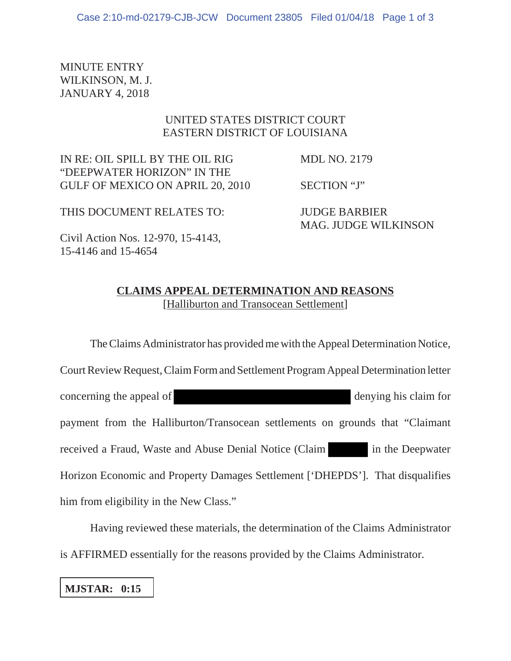MINUTE ENTRY WILKINSON, M. J. JANUARY 4, 2018

## UNITED STATES DISTRICT COURT EASTERN DISTRICT OF LOUISIANA

IN RE: OIL SPILL BY THE OIL RIG MDL NO. 2179 "DEEPWATER HORIZON" IN THE GULF OF MEXICO ON APRIL 20, 2010 SECTION "J"

THIS DOCUMENT RELATES TO: JUDGE BARBIER MAG. JUDGE WILKINSON

Civil Action Nos. 12-970, 15-4143, 15-4146 and 15-4654

## **CLAIMS APPEAL DETERMINATION AND REASONS** [Halliburton and Transocean Settlement]

The Claims Administrator has provided me with the Appeal Determination Notice, Court Review Request, Claim Form and Settlement Program Appeal Determination letter concerning the appeal of denying his claim for payment from the Halliburton/Transocean settlements on grounds that "Claimant received a Fraud, Waste and Abuse Denial Notice (Claim in the Deepwater Horizon Economic and Property Damages Settlement ['DHEPDS']. That disqualifies him from eligibility in the New Class."

Having reviewed these materials, the determination of the Claims Administrator is AFFIRMED essentially for the reasons provided by the Claims Administrator.

**MJSTAR: 0:15**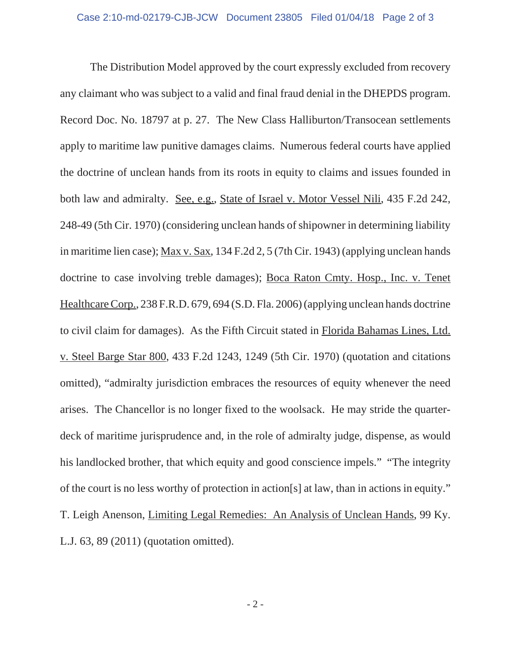The Distribution Model approved by the court expressly excluded from recovery any claimant who was subject to a valid and final fraud denial in the DHEPDS program. Record Doc. No. 18797 at p. 27. The New Class Halliburton/Transocean settlements apply to maritime law punitive damages claims. Numerous federal courts have applied the doctrine of unclean hands from its roots in equity to claims and issues founded in both law and admiralty. See, e.g., State of Israel v. Motor Vessel Nili, 435 F.2d 242, 248-49 (5th Cir. 1970) (considering unclean hands of shipowner in determining liability in maritime lien case); Max v. Sax, 134 F.2d 2, 5 (7th Cir. 1943) (applying unclean hands doctrine to case involving treble damages); Boca Raton Cmty. Hosp., Inc. v. Tenet Healthcare Corp., 238 F.R.D. 679, 694 (S.D. Fla. 2006) (applying unclean hands doctrine to civil claim for damages). As the Fifth Circuit stated in Florida Bahamas Lines, Ltd. v. Steel Barge Star 800, 433 F.2d 1243, 1249 (5th Cir. 1970) (quotation and citations omitted), "admiralty jurisdiction embraces the resources of equity whenever the need arises. The Chancellor is no longer fixed to the woolsack. He may stride the quarterdeck of maritime jurisprudence and, in the role of admiralty judge, dispense, as would his landlocked brother, that which equity and good conscience impels." "The integrity of the court is no less worthy of protection in action[s] at law, than in actions in equity." T. Leigh Anenson, Limiting Legal Remedies: An Analysis of Unclean Hands, 99 Ky. L.J. 63, 89 (2011) (quotation omitted).